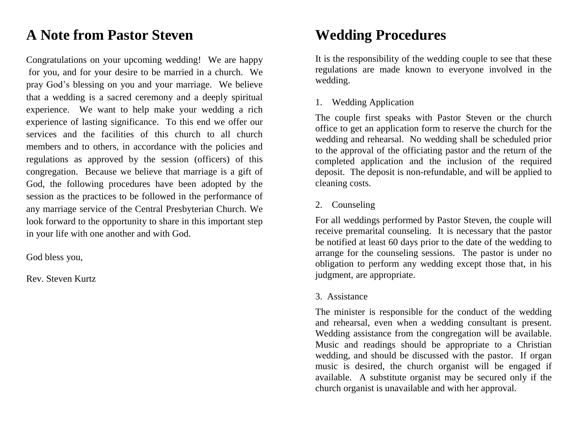## **A Note from Pastor Steven**

Congratulations on your upcoming wedding! We are happy for you, and for your desire to be married in a church. We pray God's blessing on you and your marriage. We believe that a wedding is a sacred ceremony and a deeply spiritual experience. We want to help make your wedding a rich experience of lasting significance. To this end we offer our services and the facilities of this church to all church members and to others, in accordance with the policies and regulations as approved by the session (officers) of this congregation. Because we believe that marriage is a gift of God, the following procedures have been adopted by the session as the practices to be followed in the performance of any marriage service of the Central Presbyterian Church. We look forward to the opportunity to share in this important step in your life with one another and with God.

God bless you,

Rev. Steven Kurtz

## **Wedding Procedures**

It is the responsibility of the wedding couple to see that these regulations are made known to everyone involved in the wedding.

### 1. Wedding Application

The couple first speaks with Pastor Steven or the church office to get an application form to reserve the church for the wedding and rehearsal. No wedding shall be scheduled prior to the approval of the officiating pastor and the return of the completed application and the inclusion of the required deposit. The deposit is non-refundable, and will be applied to cleaning costs.

### 2. Counseling

For all weddings performed by Pastor Steven, the couple will receive premarital counseling. It is necessary that the pastor be notified at least 60 days prior to the date of the wedding to arrange for the counseling sessions. The pastor is under no obligation to perform any wedding except those that, in his judgment, are appropriate.

### 3. Assistance

The minister is responsible for the conduct of the wedding and rehearsal, even when a wedding consultant is present. Wedding assistance from the congregation will be available. Music and readings should be appropriate to a Christian wedding, and should be discussed with the pastor. If organ music is desired, the church organist will be engaged if available. A substitute organist may be secured only if the church organist is unavailable and with her approval.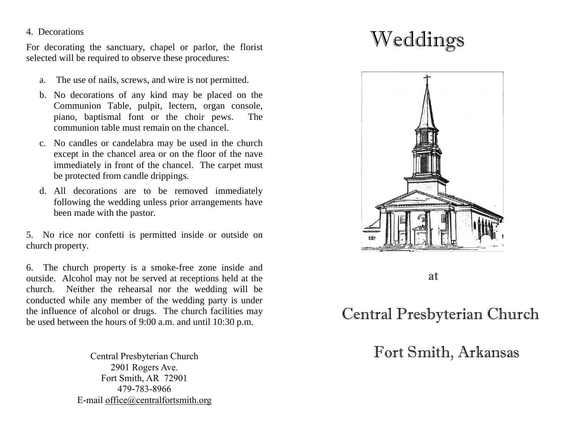#### 4. Decorations

For decorating the sanctuary, chapel or parlor, the florist selected will be required to observe these procedures:

- a. The use of nails, screws, and wire is not permitted.
- b. No decorations of any kind may be placed on the Communion Table, pulpit, lectern, organ console, piano, baptismal font or the choir pews. The communion table must remain on the chancel.
- c. No candles or candelabra may be used in the church except in the chancel area or on the floor of the nave immediately in front of the chancel. The carpet must be protected from candle drippings.
- d. All decorations are to be removed immediately following the wedding unless prior arrangements have been made with the pastor.

5. No rice nor confetti is permitted inside or outside on church property.

6. The church property is a smoke-free zone inside and outside. Alcohol may not be served at receptions held at the church. Neither the rehearsal nor the wedding will be conducted while any member of the wedding party is under the influence of alcohol or drugs. The church facilities may be used between the hours of 9:00 a.m. and until 10:30 p.m.

> 2901 Rogers Ave. Fort Smith, AR 72901 479-783-8966 E-mail [office@centralfortsmith.org](mailto:office@centralfortsmith.org)

# Weddings



at and the state of the state of the state of the state of the state of the state of the state of the state of the state of the state of the state of the state of the state of the state of the state of the state of the sta

## Central Presbyterian Church

## Central Presbyterian Church Fort Smith, Arkansas